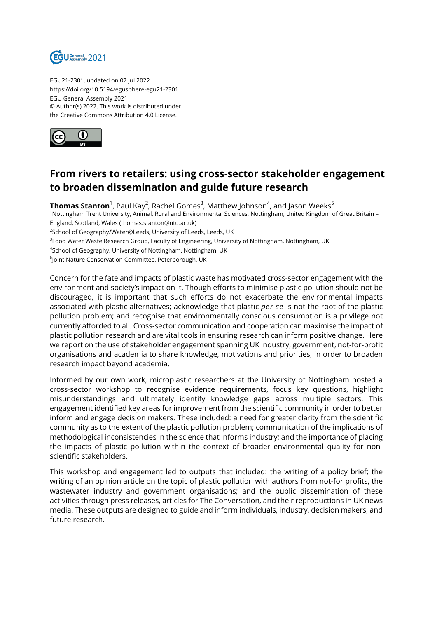

EGU21-2301, updated on 07 Jul 2022 https://doi.org/10.5194/egusphere-egu21-2301 EGU General Assembly 2021 © Author(s) 2022. This work is distributed under the Creative Commons Attribution 4.0 License.



## **From rivers to retailers: using cross-sector stakeholder engagement to broaden dissemination and guide future research**

**Thomas Stanton**<sup>1</sup>, Paul Kay<sup>2</sup>, Rachel Gomes<sup>3</sup>, Matthew Johnson<sup>4</sup>, and Jason Weeks<sup>5</sup>

<sup>1</sup>Nottingham Trent University, Animal, Rural and Environmental Sciences, Nottingham, United Kingdom of Great Britain –

England, Scotland, Wales (thomas.stanton@ntu.ac.uk)

<sup>2</sup>School of Geography/Water@Leeds, University of Leeds, Leeds, UK

<sup>3</sup>Food Water Waste Research Group, Faculty of Engineering, University of Nottingham, Nottingham, UK

 $^4$ School of Geography, University of Nottingham, Nottingham, UK

5 Joint Nature Conservation Committee, Peterborough, UK

Concern for the fate and impacts of plastic waste has motivated cross-sector engagement with the environment and society's impact on it. Though efforts to minimise plastic pollution should not be discouraged, it is important that such efforts do not exacerbate the environmental impacts associated with plastic alternatives; acknowledge that plastic *per se* is not the root of the plastic pollution problem; and recognise that environmentally conscious consumption is a privilege not currently afforded to all. Cross-sector communication and cooperation can maximise the impact of plastic pollution research and are vital tools in ensuring research can inform positive change. Here we report on the use of stakeholder engagement spanning UK industry, government, not-for-profit organisations and academia to share knowledge, motivations and priorities, in order to broaden research impact beyond academia.

Informed by our own work, microplastic researchers at the University of Nottingham hosted a cross-sector workshop to recognise evidence requirements, focus key questions, highlight misunderstandings and ultimately identify knowledge gaps across multiple sectors. This engagement identified key areas for improvement from the scientific community in order to better inform and engage decision makers. These included: a need for greater clarity from the scientific community as to the extent of the plastic pollution problem; communication of the implications of methodological inconsistencies in the science that informs industry; and the importance of placing the impacts of plastic pollution within the context of broader environmental quality for nonscientific stakeholders.

This workshop and engagement led to outputs that included: the writing of a policy brief; the writing of an opinion article on the topic of plastic pollution with authors from not-for profits, the wastewater industry and government organisations; and the public dissemination of these activities through press releases, articles for The Conversation, and their reproductions in UK news media. These outputs are designed to guide and inform individuals, industry, decision makers, and future research.